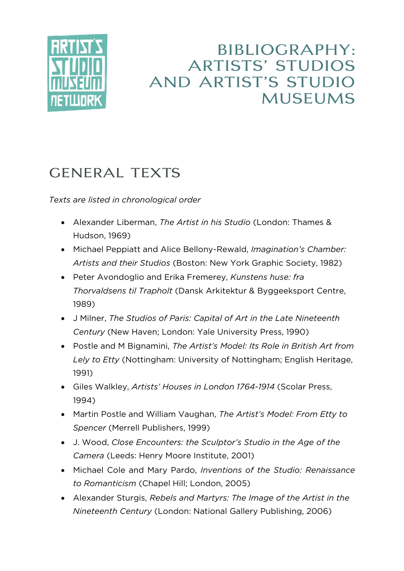

## **BIBLIOGRAPHY: ARTISTS' STUDIOS** AND ARTIST'S STUDIO **MUSEUMS**

## **GENERAL TEXTS**

*Texts are listed in chronological order*

- Alexander Liberman, *The Artist in his Studio* (London: Thames & Hudson, 1969)
- Michael Peppiatt and Alice Bellony-Rewald, *Imagination's Chamber: Artists and their Studios* (Boston: New York Graphic Society, 1982)
- Peter Avondoglio and Erika Fremerey, *Kunstens huse: fra Thorvaldsens til Trapholt* (Dansk Arkitektur & Byggeeksport Centre, 1989)
- J Milner, *The Studios of Paris: Capital of Art in the Late Nineteenth Century* (New Haven; London: Yale University Press, 1990)
- Postle and M Bignamini, *The Artist's Model: Its Role in British Art from Lely to Etty* (Nottingham: University of Nottingham; English Heritage, 1991)
- Giles Walkley, *Artists' Houses in London 1764-1914* (Scolar Press, 1994)
- Martin Postle and William Vaughan, *The Artist's Model: From Etty to Spencer* (Merrell Publishers, 1999)
- J. Wood, *Close Encounters: the Sculptor's Studio in the Age of the Camera* (Leeds: Henry Moore Institute, 2001)
- Michael Cole and Mary Pardo, *Inventions of the Studio: Renaissance to Romanticism* (Chapel Hill; London, 2005)
- Alexander Sturgis, *Rebels and Martyrs: The Image of the Artist in the Nineteenth Century* (London: National Gallery Publishing, 2006)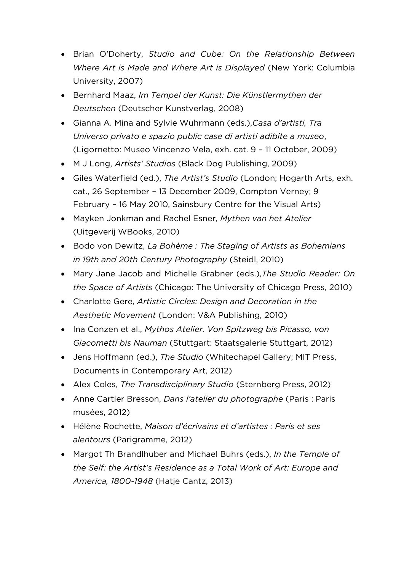- Brian O'Doherty, *Studio and Cube: On the Relationship Between Where Art is Made and Where Art is Displayed* (New York: Columbia University, 2007)
- Bernhard Maaz, *Im Tempel der Kunst: Die Künstlermythen der Deutschen* (Deutscher Kunstverlag, 2008)
- Gianna A. Mina and Sylvie Wuhrmann (eds.),*Casa d'artisti, Tra Universo privato e spazio public case di artisti adibite a museo*, (Ligornetto: Museo Vincenzo Vela, exh. cat. 9 – 11 October, 2009)
- M J Long, *Artists' Studios* (Black Dog Publishing, 2009)
- Giles Waterfield (ed.), *The Artist's Studio* (London; Hogarth Arts, exh. cat., 26 September – 13 December 2009, Compton Verney; 9 February – 16 May 2010, Sainsbury Centre for the Visual Arts)
- Mayken Jonkman and Rachel Esner, *Mythen van het Atelier*  (Uitgeverij WBooks, 2010)
- Bodo von Dewitz, *La Bohème : The Staging of Artists as Bohemians in 19th and 20th Century Photography* (Steidl, 2010)
- Mary Jane Jacob and Michelle Grabner (eds.),*The Studio Reader: On the Space of Artists* (Chicago: The University of Chicago Press, 2010)
- Charlotte Gere, *Artistic Circles: Design and Decoration in the Aesthetic Movement* (London: V&A Publishing, 2010)
- Ina Conzen et al., *Mythos Atelier. Von Spitzweg bis Picasso, von Giacometti bis Nauman* (Stuttgart: Staatsgalerie Stuttgart, 2012)
- Jens Hoffmann (ed.), *The Studio* (Whitechapel Gallery; MIT Press, Documents in Contemporary Art, 2012)
- Alex Coles, *The Transdisciplinary Studio* (Sternberg Press, 2012)
- Anne Cartier Bresson, *Dans l'atelier du photographe* (Paris : Paris musées, 2012)
- Hélène Rochette, *Maison d'écrivains et d'artistes : Paris et ses alentours* (Parigramme, 2012)
- Margot Th Brandlhuber and Michael Buhrs (eds.), *In the Temple of the Self: the Artist's Residence as a Total Work of Art: Europe and America, 1800-1948* (Hatje Cantz, 2013)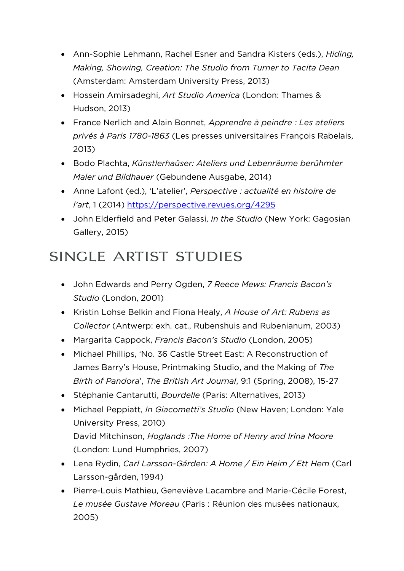- Ann-Sophie Lehmann, Rachel Esner and Sandra Kisters (eds.), *Hiding, Making, Showing, Creation: The Studio from Turner to Tacita Dean*  (Amsterdam: Amsterdam University Press, 2013)
- Hossein Amirsadeghi, *Art Studio America* (London: Thames & Hudson, 2013)
- France Nerlich and Alain Bonnet, *Apprendre à peindre : Les ateliers privés à Paris 1780-1863* (Les presses universitaires François Rabelais, 2013)
- Bodo Plachta, *Künstlerhaüser: Ateliers und Lebenräume berühmter Maler und Bildhauer* (Gebundene Ausgabe, 2014)
- Anne Lafont (ed.), 'L'atelier', *Perspective : actualité en histoire de l'art*, 1 (2014)<https://perspective.revues.org/4295>
- John Elderfield and Peter Galassi, *In the Studio* (New York: Gagosian Gallery, 2015)

### SINGLE ARTIST STUDIES

- John Edwards and Perry Ogden, *7 Reece Mews: Francis Bacon's Studio* (London, 2001)
- Kristin Lohse Belkin and Fiona Healy, *A House of Art: Rubens as Collector* (Antwerp: exh. cat., Rubenshuis and Rubenianum, 2003)
- Margarita Cappock, *Francis Bacon's Studio* (London, 2005)
- Michael Phillips, 'No. 36 Castle Street East: A Reconstruction of James Barry's House, Printmaking Studio, and the Making of *The Birth of Pandora*', *The British Art Journal*, 9:1 (Spring, 2008), 15-27
- Stéphanie Cantarutti, *Bourdelle* (Paris: Alternatives, 2013)
- Michael Peppiatt, *In Giacometti's Studio* (New Haven; London: Yale University Press, 2010) David Mitchinson, *Hoglands :The Home of Henry and Irina Moore*  (London: Lund Humphries, 2007)
- Lena Rydin, *Carl Larsson-Gården: A Home / Ein Heim / Ett Hem* (Carl Larsson-gården, 1994)
- Pierre-Louis Mathieu, Geneviève Lacambre and Marie-Cécile Forest, *Le musée Gustave Moreau* (Paris : Réunion des musées nationaux, 2005)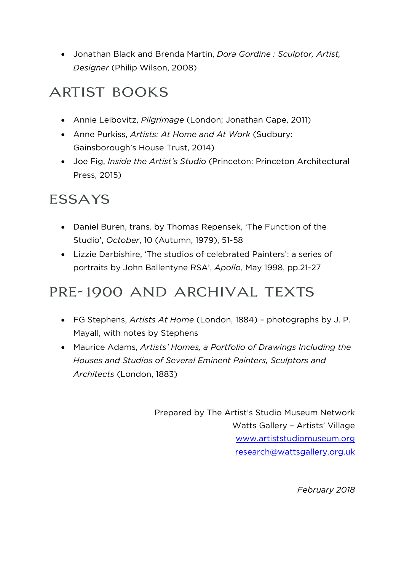Jonathan Black and Brenda Martin, *Dora Gordine : Sculptor, Artist, Designer* (Philip Wilson, 2008)

# **ARTIST BOOKS**

- Annie Leibovitz, *Pilgrimage* (London; Jonathan Cape, 2011)
- Anne Purkiss, *Artists: At Home and At Work* (Sudbury: Gainsborough's House Trust, 2014)
- Joe Fig, *Inside the Artist's Studio* (Princeton: Princeton Architectural Press, 2015)

## **ESSAYS**

- Daniel Buren, trans. by Thomas Repensek, 'The Function of the Studio', *October*, 10 (Autumn, 1979), 51-58
- Lizzie Darbishire, 'The studios of celebrated Painters': a series of portraits by John Ballentyne RSA', *Apollo*, May 1998, pp.21-27

### PRE-1900 AND ARCHIVAL TEXTS

- FG Stephens, *Artists At Home* (London, 1884) photographs by J. P. Mayall, with notes by Stephens
- Maurice Adams, *Artists' Homes, a Portfolio of Drawings Including the Houses and Studios of Several Eminent Painters, Sculptors and Architects* (London, 1883)

Prepared by The Artist's Studio Museum Network Watts Gallery – Artists' Village [www.artiststudiomuseum.org](http://www.artiststudiomuseum.org/) [research@wattsgallery.org.uk](mailto:research@wattsgallery.org.uk)

*February 2018*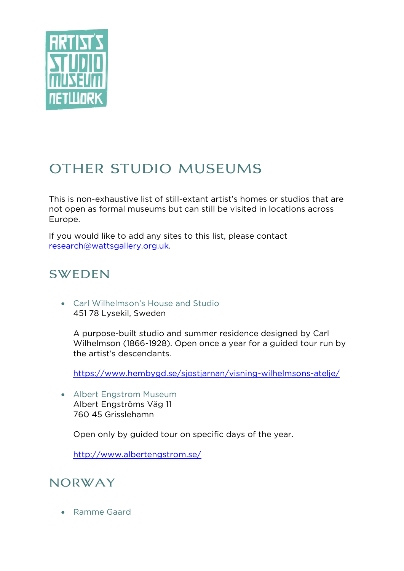

# OTHER STUDIO MUSEUMS

This is non-exhaustive list of still-extant artist's homes or studios that are not open as formal museums but can still be visited in locations across Europe.

If you would like to add any sites to this list, please contact [research@wattsgallery.org.uk.](mailto:research@wattsgallery.org.uk)

### **SWEDEN**

 Carl Wilhelmson's House and Studio 451 78 Lysekil, Sweden

A purpose-built studio and summer residence designed by Carl Wilhelmson (1866-1928). Open once a year for a guided tour run by the artist's descendants.

<https://www.hembygd.se/sjostjarnan/visning-wilhelmsons-atelje/>

 Albert Engstrom Museum Albert Engströms Väg 11 760 45 Grisslehamn

Open only by guided tour on specific days of the year.

<http://www.albertengstrom.se/>

#### NORWAY

Ramme Gaard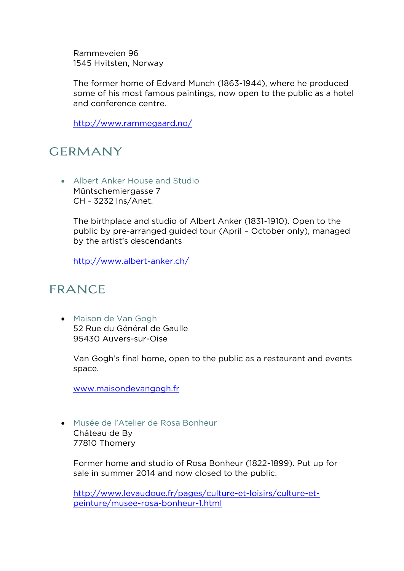Rammeveien 96 1545 Hvitsten, Norway

The former home of Edvard Munch (1863-1944), where he produced some of his most famous paintings, now open to the public as a hotel and conference centre.

<http://www.rammegaard.no/>

### **GERMANY**

 Albert Anker House and Studio Müntschemiergasse 7 CH - 3232 Ins/Anet.

The birthplace and studio of Albert Anker (1831-1910). Open to the public by pre-arranged guided tour (April – October only), managed by the artist's descendants

<http://www.albert-anker.ch/>

### **FRANCE**

 Maison de Van Gogh 52 Rue du Général de Gaulle 95430 Auvers-sur-Oise

Van Gogh's final home, open to the public as a restaurant and events space.

[www.maisondevangogh.fr](http://www.maisondevangogh.fr/)

 Musée de l'Atelier de Rosa Bonheur Château de By 77810 Thomery

Former home and studio of Rosa Bonheur (1822-1899). Put up for sale in summer 2014 and now closed to the public.

[http://www.levaudoue.fr/pages/culture-et-loisirs/culture-et](http://www.levaudoue.fr/pages/culture-et-loisirs/culture-et-peinture/musee-rosa-bonheur-1.html)[peinture/musee-rosa-bonheur-1.html](http://www.levaudoue.fr/pages/culture-et-loisirs/culture-et-peinture/musee-rosa-bonheur-1.html)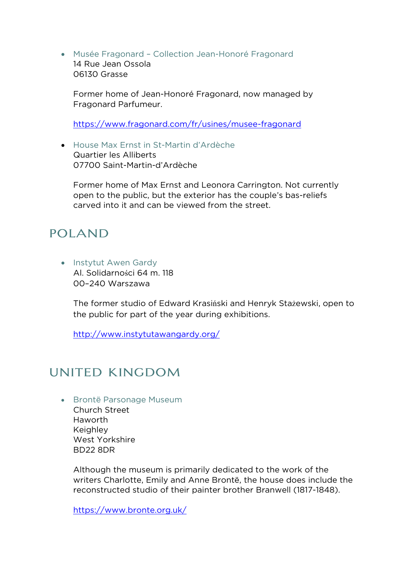Musée Fragonard – Collection Jean-Honoré Fragonard 14 Rue Jean Ossola 06130 Grasse

Former home of Jean-Honoré Fragonard, now managed by Fragonard Parfumeur.

<https://www.fragonard.com/fr/usines/musee-fragonard>

 House Max Ernst in St-Martin d'Ardèche Quartier les Alliberts 07700 Saint-Martin-d'Ardèche

Former home of Max Ernst and Leonora Carrington. Not currently open to the public, but the exterior has the couple's bas-reliefs carved into it and can be viewed from the street.

#### **POLAND**

• Instytut Awen Gardy Al. Solidarności 64 m. 118 00–240 Warszawa

> The former studio of Edward Krasiński and Henryk Stażewski, open to the public for part of the year during exhibitions.

<http://www.instytutawangardy.org/>

### UNITED KINGDOM

Brontë Parsonage Museum

Church Street Haworth **Keighley** West Yorkshire BD22 8DR

Although the museum is primarily dedicated to the work of the writers Charlotte, Emily and Anne Brontë, the house does include the reconstructed studio of their painter brother Branwell (1817-1848).

<https://www.bronte.org.uk/>